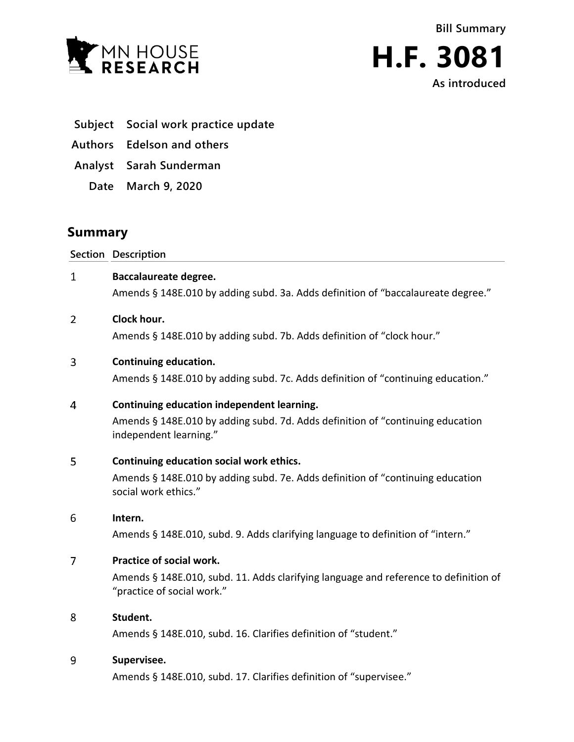



- **Subject Social work practice update**
- **Authors Edelson and others**
- **Analyst Sarah Sunderman**
	- **Date March 9, 2020**

# **Summary**

**Section Description**

 $\mathbf{1}$ **Baccalaureate degree.**

Amends § 148E.010 by adding subd. 3a. Adds definition of "baccalaureate degree."

#### $\overline{2}$ **Clock hour.**

Amends § 148E.010 by adding subd. 7b. Adds definition of "clock hour."

#### 3 **Continuing education.**

Amends § 148E.010 by adding subd. 7c. Adds definition of "continuing education."

#### **Continuing education independent learning.**  $\overline{4}$

Amends § 148E.010 by adding subd. 7d. Adds definition of "continuing education independent learning."

#### 5 **Continuing education social work ethics.**

Amends § 148E.010 by adding subd. 7e. Adds definition of "continuing education social work ethics."

#### 6 **Intern.**

Amends § 148E.010, subd. 9. Adds clarifying language to definition of "intern."

#### $\overline{7}$ **Practice of social work.**

Amends § 148E.010, subd. 11. Adds clarifying language and reference to definition of "practice of social work."

#### 8 **Student.**

Amends § 148E.010, subd. 16. Clarifies definition of "student."

#### 9 **Supervisee.**

Amends § 148E.010, subd. 17. Clarifies definition of "supervisee."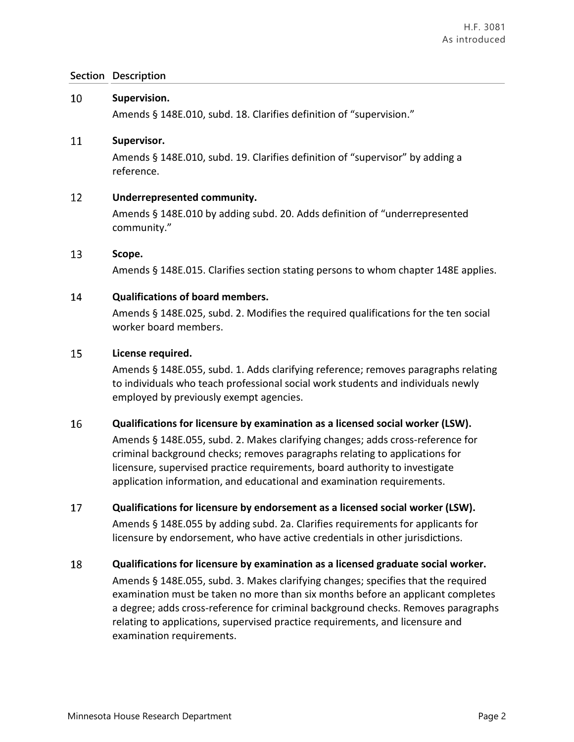#### 10 **Supervision.**

Amends § 148E.010, subd. 18. Clarifies definition of "supervision."

#### 11 **Supervisor.**

Amends § 148E.010, subd. 19. Clarifies definition of "supervisor" by adding a reference.

#### 12 **Underrepresented community.**

Amends § 148E.010 by adding subd. 20. Adds definition of "underrepresented community."

#### 13 **Scope.**

Amends § 148E.015. Clarifies section stating persons to whom chapter 148E applies.

#### 14 **Qualifications of board members.**

Amends § 148E.025, subd. 2. Modifies the required qualifications for the ten social worker board members.

#### 15 **License required.**

Amends § 148E.055, subd. 1. Adds clarifying reference; removes paragraphs relating to individuals who teach professional social work students and individuals newly employed by previously exempt agencies.

#### 16 **Qualifications for licensure by examination as a licensed social worker (LSW).**

Amends § 148E.055, subd. 2. Makes clarifying changes; adds cross-reference for criminal background checks; removes paragraphs relating to applications for licensure, supervised practice requirements, board authority to investigate application information, and educational and examination requirements.

#### 17 **Qualifications for licensure by endorsement as a licensed social worker (LSW).**

Amends § 148E.055 by adding subd. 2a. Clarifies requirements for applicants for licensure by endorsement, who have active credentials in other jurisdictions.

18 **Qualifications for licensure by examination as a licensed graduate social worker.** Amends § 148E.055, subd. 3. Makes clarifying changes; specifies that the required examination must be taken no more than six months before an applicant completes a degree; adds cross-reference for criminal background checks. Removes paragraphs relating to applications, supervised practice requirements, and licensure and examination requirements.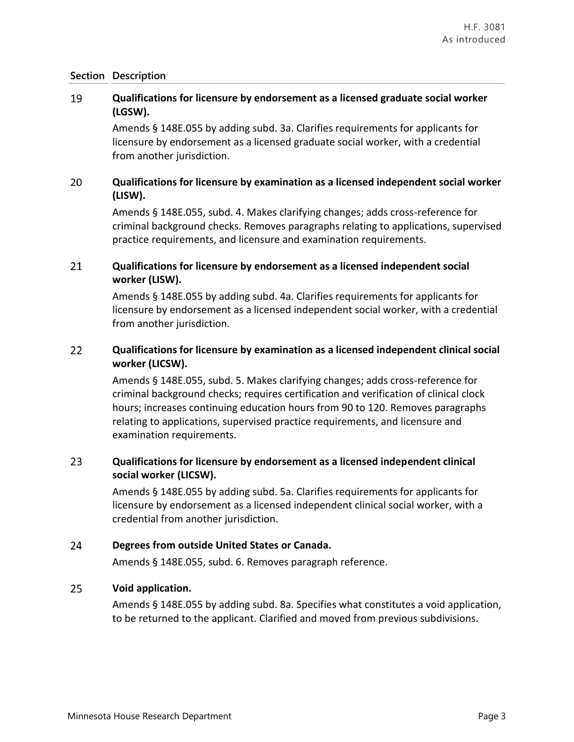### 19 **Qualifications for licensure by endorsement as a licensed graduate social worker (LGSW).**

Amends § 148E.055 by adding subd. 3a. Clarifies requirements for applicants for licensure by endorsement as a licensed graduate social worker, with a credential from another jurisdiction.

### 20 **Qualifications for licensure by examination as a licensed independent social worker (LISW).**

Amends § 148E.055, subd. 4. Makes clarifying changes; adds cross-reference for criminal background checks. Removes paragraphs relating to applications, supervised practice requirements, and licensure and examination requirements.

### 21 **Qualifications for licensure by endorsement as a licensed independent social worker (LISW).**

Amends § 148E.055 by adding subd. 4a. Clarifies requirements for applicants for licensure by endorsement as a licensed independent social worker, with a credential from another jurisdiction.

### 22 **Qualifications for licensure by examination as a licensed independent clinical social worker (LICSW).**

Amends § 148E.055, subd. 5. Makes clarifying changes; adds cross-reference for criminal background checks; requires certification and verification of clinical clock hours; increases continuing education hours from 90 to 120. Removes paragraphs relating to applications, supervised practice requirements, and licensure and examination requirements.

### 23 **Qualifications for licensure by endorsement as a licensed independent clinical social worker (LICSW).**

Amends § 148E.055 by adding subd. 5a. Clarifies requirements for applicants for licensure by endorsement as a licensed independent clinical social worker, with a credential from another jurisdiction.

#### 24 **Degrees from outside United States or Canada.**

Amends § 148E.055, subd. 6. Removes paragraph reference.

#### 25 **Void application.**

Amends § 148E.055 by adding subd. 8a. Specifies what constitutes a void application, to be returned to the applicant. Clarified and moved from previous subdivisions.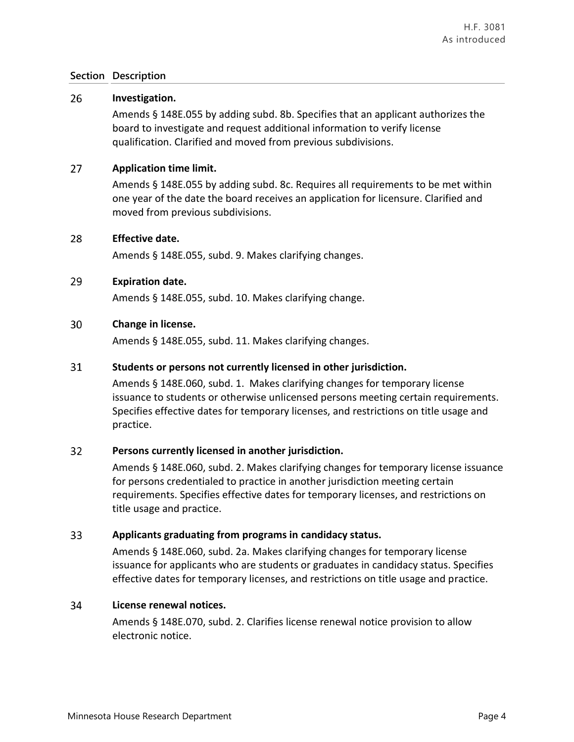#### 26 **Investigation.**

Amends § 148E.055 by adding subd. 8b. Specifies that an applicant authorizes the board to investigate and request additional information to verify license qualification. Clarified and moved from previous subdivisions.

#### $27$ **Application time limit.**

Amends § 148E.055 by adding subd. 8c. Requires all requirements to be met within one year of the date the board receives an application for licensure. Clarified and moved from previous subdivisions.

#### 28 **Effective date.**

Amends § 148E.055, subd. 9. Makes clarifying changes.

#### 29 **Expiration date.**

Amends § 148E.055, subd. 10. Makes clarifying change.

#### 30 **Change in license.**

Amends § 148E.055, subd. 11. Makes clarifying changes.

#### 31 **Students or persons not currently licensed in other jurisdiction.**

Amends § 148E.060, subd. 1. Makes clarifying changes for temporary license issuance to students or otherwise unlicensed persons meeting certain requirements. Specifies effective dates for temporary licenses, and restrictions on title usage and practice.

#### $32<sub>2</sub>$ **Persons currently licensed in another jurisdiction.**

Amends § 148E.060, subd. 2. Makes clarifying changes for temporary license issuance for persons credentialed to practice in another jurisdiction meeting certain requirements. Specifies effective dates for temporary licenses, and restrictions on title usage and practice.

#### 33 **Applicants graduating from programs in candidacy status.**

Amends § 148E.060, subd. 2a. Makes clarifying changes for temporary license issuance for applicants who are students or graduates in candidacy status. Specifies effective dates for temporary licenses, and restrictions on title usage and practice.

#### 34 **License renewal notices.**

Amends § 148E.070, subd. 2. Clarifies license renewal notice provision to allow electronic notice.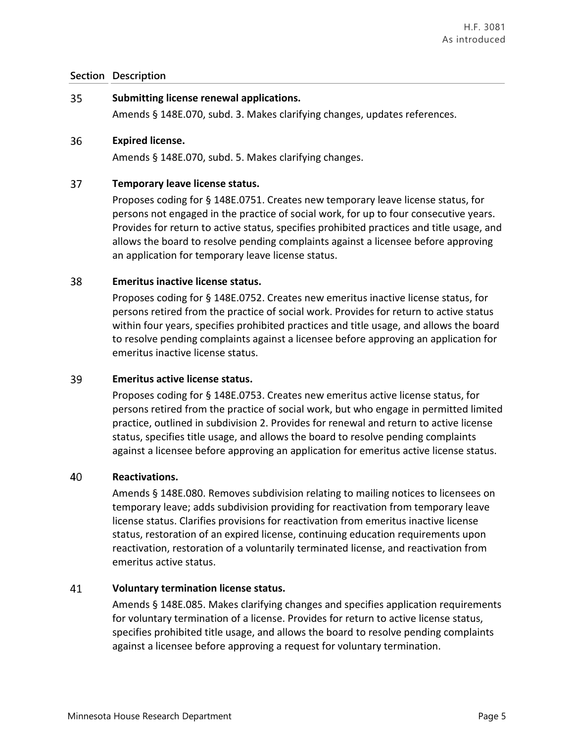#### 35 **Submitting license renewal applications.**

Amends § 148E.070, subd. 3. Makes clarifying changes, updates references.

#### 36 **Expired license.**

Amends § 148E.070, subd. 5. Makes clarifying changes.

#### 37 **Temporary leave license status.**

Proposes coding for § 148E.0751. Creates new temporary leave license status, for persons not engaged in the practice of social work, for up to four consecutive years. Provides for return to active status, specifies prohibited practices and title usage, and allows the board to resolve pending complaints against a licensee before approving an application for temporary leave license status.

#### 38 **Emeritus inactive license status.**

Proposes coding for § 148E.0752. Creates new emeritus inactive license status, for persons retired from the practice of social work. Provides for return to active status within four years, specifies prohibited practices and title usage, and allows the board to resolve pending complaints against a licensee before approving an application for emeritus inactive license status.

#### 39 **Emeritus active license status.**

Proposes coding for § 148E.0753. Creates new emeritus active license status, for persons retired from the practice of social work, but who engage in permitted limited practice, outlined in subdivision 2. Provides for renewal and return to active license status, specifies title usage, and allows the board to resolve pending complaints against a licensee before approving an application for emeritus active license status.

#### 40 **Reactivations.**

Amends § 148E.080. Removes subdivision relating to mailing notices to licensees on temporary leave; adds subdivision providing for reactivation from temporary leave license status. Clarifies provisions for reactivation from emeritus inactive license status, restoration of an expired license, continuing education requirements upon reactivation, restoration of a voluntarily terminated license, and reactivation from emeritus active status.

#### 41 **Voluntary termination license status.**

Amends § 148E.085. Makes clarifying changes and specifies application requirements for voluntary termination of a license. Provides for return to active license status, specifies prohibited title usage, and allows the board to resolve pending complaints against a licensee before approving a request for voluntary termination.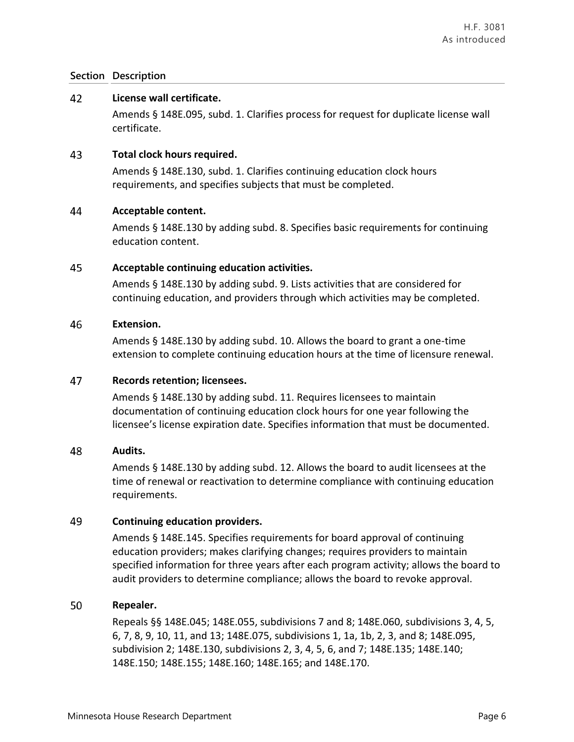#### 42 **License wall certificate.**

Amends § 148E.095, subd. 1. Clarifies process for request for duplicate license wall certificate.

#### 43 **Total clock hours required.**

Amends § 148E.130, subd. 1. Clarifies continuing education clock hours requirements, and specifies subjects that must be completed.

#### 44 **Acceptable content.**

Amends § 148E.130 by adding subd. 8. Specifies basic requirements for continuing education content.

#### 45 **Acceptable continuing education activities.**

Amends § 148E.130 by adding subd. 9. Lists activities that are considered for continuing education, and providers through which activities may be completed.

#### 46 **Extension.**

Amends § 148E.130 by adding subd. 10. Allows the board to grant a one-time extension to complete continuing education hours at the time of licensure renewal.

#### 47 **Records retention; licensees.**

Amends § 148E.130 by adding subd. 11. Requires licensees to maintain documentation of continuing education clock hours for one year following the licensee's license expiration date. Specifies information that must be documented.

#### 48 **Audits.**

Amends § 148E.130 by adding subd. 12. Allows the board to audit licensees at the time of renewal or reactivation to determine compliance with continuing education requirements.

#### 49 **Continuing education providers.**

Amends § 148E.145. Specifies requirements for board approval of continuing education providers; makes clarifying changes; requires providers to maintain specified information for three years after each program activity; allows the board to audit providers to determine compliance; allows the board to revoke approval.

#### 50 **Repealer.**

Repeals §§ 148E.045; 148E.055, subdivisions 7 and 8; 148E.060, subdivisions 3, 4, 5, 6, 7, 8, 9, 10, 11, and 13; 148E.075, subdivisions 1, 1a, 1b, 2, 3, and 8; 148E.095, subdivision 2; 148E.130, subdivisions 2, 3, 4, 5, 6, and 7; 148E.135; 148E.140; 148E.150; 148E.155; 148E.160; 148E.165; and 148E.170.